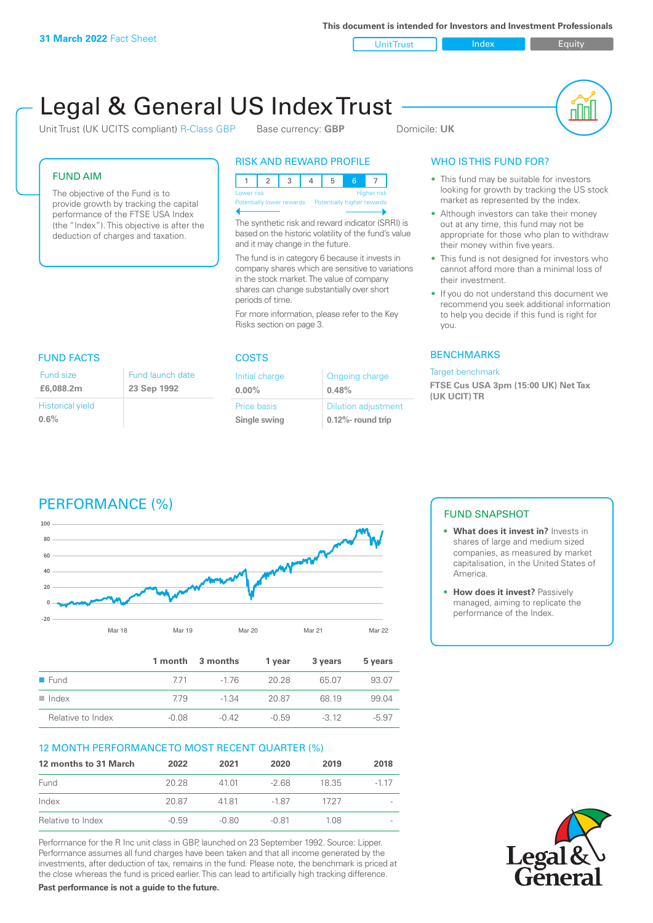**This document is intended for Investors and Investment Professionals**

Unit Trust Index I Equity

# Legal & General US Index Trust

Unit Trust (UK UCITS compliant) R-Class GBP Base currency: **GBP** Domicile: UK

nl Inl

#### FUND AIM

The objective of the Fund is to provide growth by tracking the capital performance of the FTSE USA Index (the "Index"). This objective is after the deduction of charges and taxation.

### RISK AND REWARD PROFILE

| Lower risk                                           |  |  |  |  |  | <b>Higher risk</b> |
|------------------------------------------------------|--|--|--|--|--|--------------------|
| Potentially lower rewards Potentially higher rewards |  |  |  |  |  |                    |
|                                                      |  |  |  |  |  |                    |

The synthetic risk and reward indicator (SRRI) is based on the historic volatility of the fund's value and it may change in the future.

The fund is in category 6 because it invests in company shares which are sensitive to variations in the stock market. The value of company shares can change substantially over short periods of time.

For more information, please refer to the Key Risks section on page 3.

| <b>FUND FACTS</b> |             |
|-------------------|-------------|
| Fund size         | Fund launch |
| £6,088,2m         | 23 Sep 1992 |
| Historical viold  |             |

Historical yield **0.6%**

#### COSTS Initial charge **0.00%** Ongoing charge **0.48%**

Price basis **Single swing** Dilution adjustment **0.12%- round trip**

### WHO IS THIS FUND FOR?

- This fund may be suitable for investors looking for growth by tracking the US stock market as represented by the index.
- Although investors can take their money out at any time, this fund may not be appropriate for those who plan to withdraw their money within five years.
- This fund is not designed for investors who cannot afford more than a minimal loss of their investment.
- If you do not understand this document we recommend you seek additional information to help you decide if this fund is right for you.

#### **BENCHMARKS**

#### Target benchmark

**FTSE Cus USA 3pm (15:00 UK) Net Tax (UK UCIT) TR**

## PERFORMANCE (%)



date

|                      |         | 1 month 3 months | 1 vear  | 3 years | 5 years |
|----------------------|---------|------------------|---------|---------|---------|
| $\blacksquare$ Fund  | 771     | -1 76            | 20.28   | 65.07   | 93.07   |
| $\blacksquare$ Index | 779     | $-1.34$          | 20.87   | 68 19   | 99.04   |
| Relative to Index    | $-0.08$ | $-0.42$          | $-0.59$ | $-312$  | $-5.97$ |

#### 12 MONTH PERFORMANCE TO MOST RECENT QUARTER (%)

| 12 months to 31 March | 2022    | 2021    | 2020    | 2019  | 2018  |
|-----------------------|---------|---------|---------|-------|-------|
| Fund                  | 20.28   | 41.01   | $-268$  | 18.35 | -1 17 |
| Index                 | 20.87   | 4181    | -1.87   | 1727  |       |
| Relative to Index     | $-0.59$ | $-0.80$ | $-0.81$ | 1 08. |       |

Performance for the R Inc unit class in GBP, launched on 23 September 1992. Source: Lipper. Performance assumes all fund charges have been taken and that all income generated by the investments, after deduction of tax, remains in the fund. Please note, the benchmark is priced at the close whereas the fund is priced earlier. This can lead to artificially high tracking difference.

**Past performance is not a guide to the future.**

### FUND SNAPSHOT

- **• What does it invest in?** Invests in shares of large and medium sized companies, as measured by market capitalisation, in the United States of America.
- **•** How does it invest? Passively managed, aiming to replicate the performance of the Index.

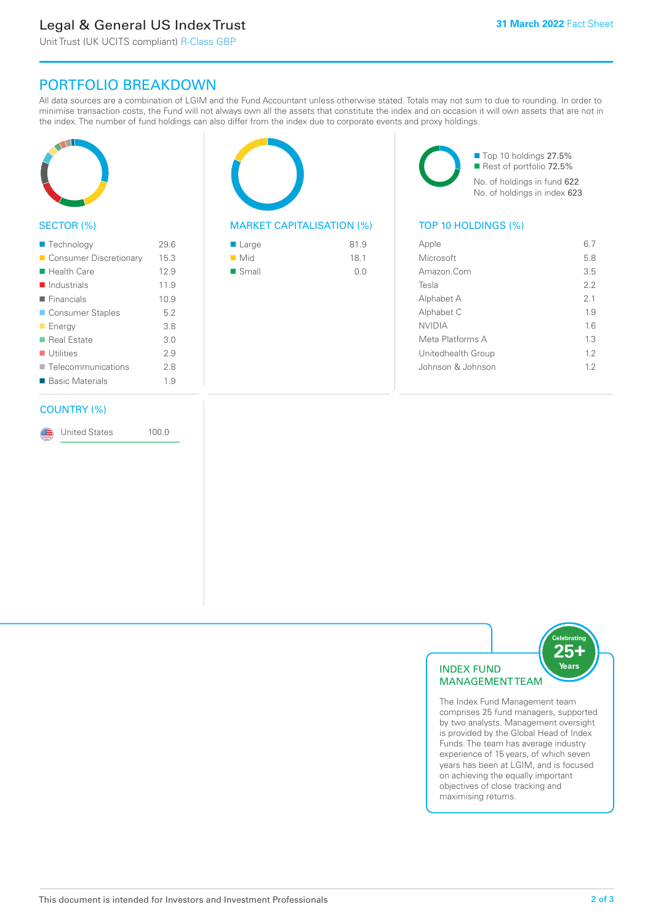### Legal & General US Index Trust

Unit Trust (UK UCITS compliant) R-Class GBP

### PORTFOLIO BREAKDOWN

All data sources are a combination of LGIM and the Fund Accountant unless otherwise stated. Totals may not sum to due to rounding. In order to minimise transaction costs, the Fund will not always own all the assets that constitute the index and on occasion it will own assets that are not in the index. The number of fund holdings can also differ from the index due to corporate events and proxy holdings.



#### SECTOR (%)

| ■ Technology               | 29.6 |
|----------------------------|------|
| ■ Consumer Discretionary   | 15.3 |
| $\blacksquare$ Health Care | 12.9 |
| $\blacksquare$ Industrials | 11.9 |
| $\blacksquare$ Financials  | 10.9 |
| ■ Consumer Staples         | 5.2  |
| <b>Energy</b>              | 3.8  |
| ■ Real Estate              | 3.0  |
| $\blacksquare$ Utilities   | 29   |
| ■ Telecommunications       | 2.8  |
| ■ Basic Materials          | 1.9  |
|                            |      |

#### COUNTRY (%)

United States 100.0

#### MARKET CAPITALISATION (%) TOP 10 HOLDINGS (%)

| ■ Large              | 81.9 |
|----------------------|------|
| $\blacksquare$ Mid   | 18.1 |
| $\blacksquare$ Small | 0.0  |

■ Top 10 holdings 27.5% Rest of portfolio 72.5% No. of holdings in fund 622 No. of holdings in index 623

| Apple              | 67  |
|--------------------|-----|
| Microsoft          | 5.8 |
| Amazon.Com         | 3.5 |
| Tesla              | 22  |
| Alphabet A         | 2.1 |
| Alphabet C         | 19  |
| <b>NVIDIA</b>      | 1.6 |
| Meta Platforms A   | 1.3 |
| Unitedhealth Group | 12  |
| Johnson & Johnson  | 12  |
|                    |     |



The Index Fund Management team comprises 25 fund managers, supported by two analysts. Management oversight is provided by the Global Head of Index Funds. The team has average industry experience of 15 years, of which seven years has been at LGIM, and is focused on achieving the equally important objectives of close tracking and maximising returns.